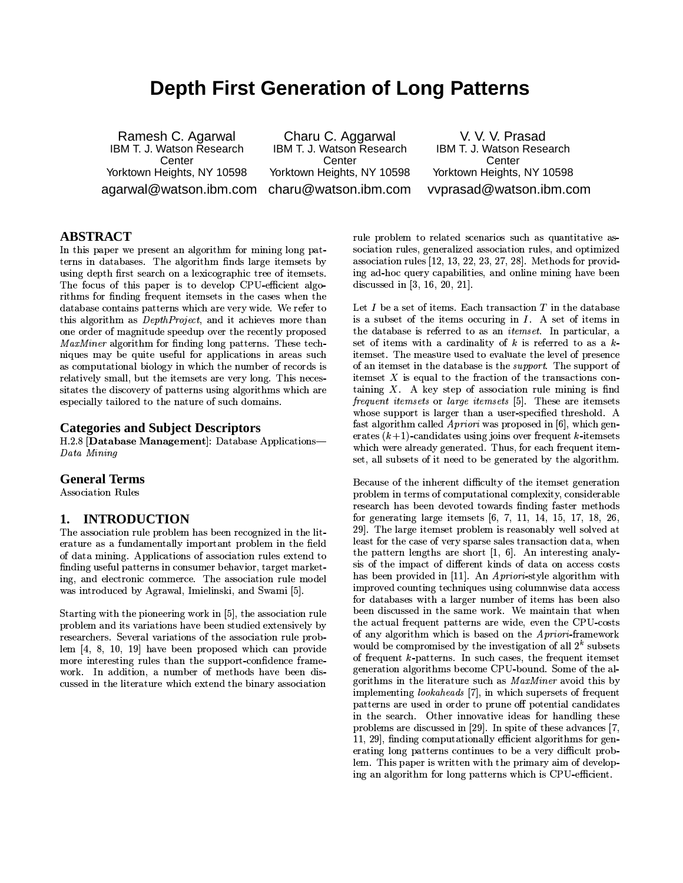# **Depth First Generation of Long Patterns**

Ramesh C. Agarwal IBM T. J. Watson Research Center Yorktown Heights, NY 10598 agarwal@watson.ibm.com charu@watson.ibm.com

Charu C. Aggarwal IBM T. J. Watson Research Center Yorktown Heights, NY 10598

V. V. V. Prasad IBM T. J. Watson Research Center Yorktown Heights, NY 10598 vvprasad@watson.ibm.com

# **ABSTRACT**

In this paper we present an algorithm for mining long patterns in databases. The algorithm finds large itemsets by using depth first search on a lexicographic tree of itemsets. The focus of this paper is to develop CPU-efficient algorithms for finding frequent itemsets in the cases when the database contains patterns which are very wide. We refer to this algorithm as *DepthProject*, and it achieves more than one order of magnitude speedup over the recently proposed MaxMiner algorithm for finding long patterns. These techniques may be quite useful for applications in areas such as computational biology in which the number of records is relatively small, but the itemsets are very long. This necessitates the discovery of patterns using algorithms which are especially tailored to the nature of such domains.

### **Categories and Subject Descriptors**

H.2.8 [Database Management]: Database Applications-Data Minina

# **General Terms**

**Association Rules** 

#### **INTRODUCTION** 1.

The association rule problem has been recognized in the literature as a fundamentally important problem in the field of data mining. Applications of association rules extend to finding useful patterns in consumer behavior, target marketing, and electronic commerce. The association rule model was introduced by Agrawal, Imielinski, and Swami [5].

Starting with the pioneering work in [5], the association rule problem and its variations have been studied extensively by researchers. Several variations of the association rule prob- $\ell$  [4, 8, 10, 19] have been proposed which can provide more interesting rules than the support-confidence framework. In addition, a number of methods have been discussed in the literature which extend the binary association

rule problem to related scenarios such as quantitative association rules, generalized association rules, and optimized association rules  $[12, 13, 22, 23, 27, 28]$ . Methods for providing ad-hoc query capabilities, and online mining have been discussed in  $[3, 16, 20, 21]$ .

Let  $I$  be a set of items. Each transaction  $T$  in the database is a subset of the items occuring in  $I$ . A set of items in the database is referred to as an *itemset*. In particular, a set of items with a cardinality of  $k$  is referred to as a  $k$ itemset. The measure used to evaluate the level of presence of an itemset in the database is the *support*. The support of itemset  $X$  is equal to the fraction of the transactions containing  $X$ . A key step of association rule mining is find frequent itemsets or large itemsets [5]. These are itemsets whose support is larger than a user-specified threshold. A fast algorithm called Apriori was proposed in [6], which generates  $(k+1)$ -candidates using joins over frequent k-itemsets which were already generated. Thus, for each frequent itemset, all subsets of it need to be generated by the algorithm.

Because of the inherent difficulty of the itemset generation problem in terms of computational complexity, considerable research has been devoted towards finding faster methods for generating large itemsets [6, 7, 11, 14, 15, 17, 18, 26, 29. The large itemset problem is reasonably well solved at least for the case of very sparse sales transaction data, when the pattern lengths are short [1, 6]. An interesting analysis of the impact of different kinds of data on access costs has been provided in [11]. An *Apriori*-style algorithm with improved counting techniques using columnwise data access for databases with a larger number of items has been also been discussed in the same work. We maintain that when the actual frequent patterns are wide, even the CPU-costs of any algorithm which is based on the Apriori-framework would be compromised by the investigation of all  $2^k$  subsets of frequent  $k$ -patterns. In such cases, the frequent itemset generation algorithms become CPU-bound. Some of the algorithms in the literature such as MaxMiner avoid this by implementing lookaheads [7], in which supersets of frequent patterns are used in order to prune off potential candidates in the search. Other innovative ideas for handling these problems are discussed in [29]. In spite of these advances [7, 11, 29], finding computationally efficient algorithms for generating long patterns continues to be a very difficult problem. This paper is written with the primary aim of developing an algorithm for long patterns which is CPU-efficient.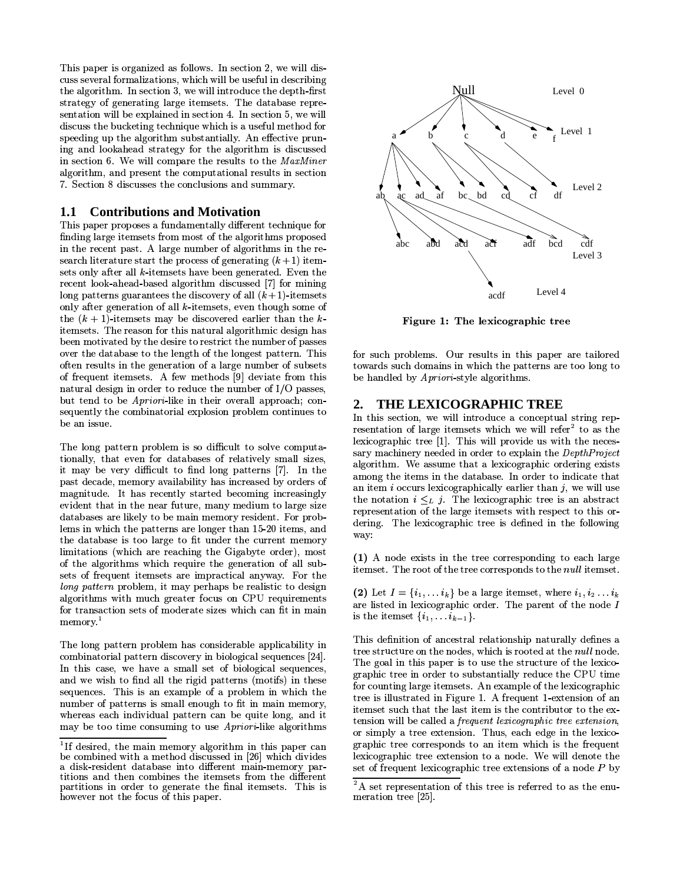This paper is organized as follows. In section 2, we will discuss several formalizations, which will be useful in describing the algorithm. In section 3, we will introduce the depth-first strategy of generating large itemsets. The database representation will be explained in section 4. In section 5, we will discuss the bucketing technique which is a useful method for speeding up the algorithm substantially. An effective pruning and lookahead strategy for the algorithm is discussed in section 6. We will compare the results to the MaxMiner algorithm, and present the computational results in section 7. Section 8 discusses the conclusions and summary.

#### 1.1 **Contributions and Motivation**

This paper proposes a fundamentally different technique for finding large itemsets from most of the algorithms proposed in the recent past. A large number of algorithms in the research literature start the process of generating  $(k+1)$  itemsets only after all k-itemsets have been generated. Even the recent look-ahead-based algorithm discussed [7] for mining long patterns guarantees the discovery of all  $(k+1)$ -itemsets only after generation of all  $k$ -itemsets, even though some of the  $(k + 1)$ -itemsets may be discovered earlier than the kitemsets. The reason for this natural algorithmic design has been motivated by the desire to restrict the number of passes over the database to the length of the longest pattern. This often results in the generation of a large number of subsets of frequent itemsets. A few methods [9] deviate from this natural design in order to reduce the number of I/O passes, but tend to be *Apriori* like in their overall approach; consequently the combinatorial explosion problem continues to be an issue.

The long pattern problem is so difficult to solve computationally, that even for databases of relatively small sizes, it may be very difficult to find long patterns [7]. In the past decade, memory availability has increased by orders of magnitude. It has recently started becoming increasingly evident that in the near future, many medium to large size databases are likely to be main memory resident. For problems in which the patterns are longer than 15-20 items, and the database is too large to fit under the current memory limitations (which are reaching the Gigabyte order), most of the algorithms which require the generation of all subsets of frequent itemsets are impractical anyway. For the long pattern problem, it may perhaps be realistic to design algorithms with much greater focus on CPU requirements for transaction sets of moderate sizes which can fit in main  $memory<sup>1</sup>$ 

The long pattern problem has considerable applicability in combinatorial pattern discovery in biological sequences [24]. In this case, we have a small set of biological sequences, and we wish to find all the rigid patterns (motifs) in these sequences. This is an example of a problem in which the number of patterns is small enough to fit in main memory, whereas each individual pattern can be quite long, and it may be too time consuming to use *Apriori*-like algorithms



Figure 1: The lexicographic tree

for such problems. Our results in this paper are tailored towards such domains in which the patterns are too long to be handled by *Apriori*-style algorithms.

#### 2. THE LEXICOGRAPHIC TREE

In this section, we will introduce a conceptual string representation of large itemsets which we will refer<sup>2</sup> to as the lexicographic tree [1]. This will provide us with the necessary machinery needed in order to explain the DepthProject algorithm. We assume that a lexicographic ordering exists among the items in the database. In order to indicate that an item i occurs lexicographically earlier than  $j$ , we will use the notation  $i \leq_L j$ . The lexicographic tree is an abstract representation of the large itemsets with respect to this ordering. The lexicographic tree is defined in the following way.

(1) A node exists in the tree corresponding to each large itemset. The root of the tree corresponds to the *null* itemset.

(2) Let  $I = \{i_1, \ldots i_k\}$  be a large itemset, where  $i_1, i_2 \ldots i_k$ are listed in lexicographic order. The parent of the node  $I$ is the itemset  $\{i_1, \ldots i_{k-1}\}.$ 

This definition of ancestral relationship naturally defines a tree structure on the nodes, which is rooted at the *null* node. The goal in this paper is to use the structure of the lexicographic tree in order to substantially reduce the CPU time for counting large itemsets. An example of the lexicographic tree is illustrated in Figure 1. A frequent 1-extension of an itemset such that the last item is the contributor to the extension will be called a *frequent lexicographic tree extension*, or simply a tree extension. Thus, each edge in the lexicographic tree corresponds to an item which is the frequent lexicographic tree extension to a node. We will denote the set of frequent lexicographic tree extensions of a node  $P$  by

<sup>&</sup>lt;sup>1</sup>If desired, the main memory algorithm in this paper can be combined with a method discussed in [26] which divides a disk-resident database into different main-memory partitions and then combines the itemsets from the different partitions in order to generate the final itemsets. This is however not the focus of this paper.

 $2A$  set representation of this tree is referred to as the enumeration tree [25].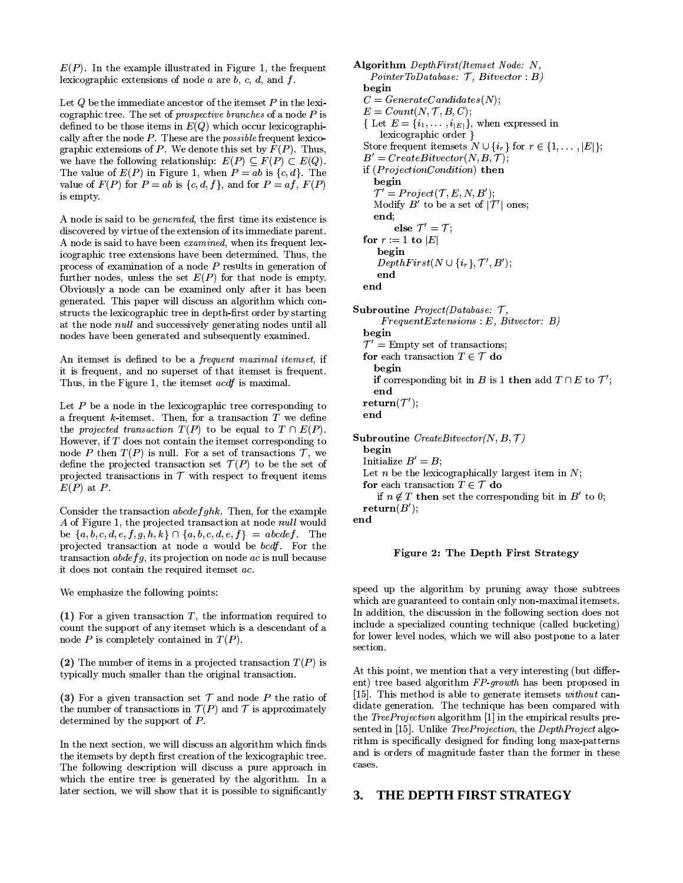$E(P)$ . In the example illustrated in Figure 1, the frequent lexicographic extensions of node  $a$  are  $b, c, d$ , and  $f$ .

Let  $Q$  be the immediate ancestor of the itemset  $P$  in the lexicographic tree. The set of *prospective* branches of a node  $P$  is defined to be those items in  $E(Q)$  which occur lexicographically after the node  $P$ . These are the *possible* frequent lexicographic extensions of P. We denote this set by  $F(P)$ . Thus, we have the following relationship:  $E(P) \subset F(P) \subset E(Q)$ . The value of  $E(P)$  in Figure 1, when  $P = ab$  is  $\{c, d\}$ . The value of  $F(P)$  for  $P = ab$  is  $\{c, d, f\}$ , and for  $P = af$ ,  $F(P)$ is empty.

A node is said to be *generated*, the first time its existence is discovered by virtue of the extension of its immediate parent. A node is said to have been *examined*, when its frequent lexicographic tree extensions have been determined. Thus, the process of examination of a node  $P$  results in generation of further nodes, unless the set  $E(P)$  for that node is empty. Obviously a node can be examined only after it has been generated. This paper will discuss an algorithm which constructs the lexicographic tree in depth-first order by starting at the node null and successively generating nodes until all nodes have been generated and subsequently examined.

An itemset is defined to be a *frequent maximal itemset*, if it is frequent, and no superset of that itemset is frequent. Thus, in the Figure 1, the itemset *acdf* is maximal.

Let  $P$  be a node in the lexicographic tree corresponding to a frequent  $k$ -itemset. Then, for a transaction  $T$  we define the projected transaction  $T(P)$  to be equal to  $T \cap E(P)$ . However, if  $T$  does not contain the itemset corresponding to node P then  $T(P)$  is null. For a set of transactions T, we define the projected transaction set  $\mathcal{T}(P)$  to be the set of projected transactions in  $T$  with respect to frequent items  $E(P)$  at P.

Consider the transaction  $abcde fghk$ . Then, for the example A of Figure 1, the projected transaction at node *null* would be  $\{a, b, c, d, e, f, g, h, k\} \cap \{a, b, c, d, e, f\} = abcdef$ . The projected transaction at node  $a$  would be  $bcdf$ . For the transaction  $abdefg$ , its projection on node  $ac$  is null because it does not contain the required itemset ac.

We emphasize the following points:

(1) For a given transaction  $T$ , the information required to count the support of any itemset which is a descendant of a node P is completely contained in  $T(P)$ .

(2) The number of items in a projected transaction  $T(P)$  is typically much smaller than the original transaction.

(3) For a given transaction set  $\mathcal T$  and node P the ratio of the number of transactions in  $\mathcal{T}(P)$  and T is approximately determined by the support of  $P$ .

In the next section, we will discuss an algorithm which finds the itemsets by depth first creation of the lexicographic tree. The following description will discuss a pure approach in which the entire tree is generated by the algorithm. In a later section, we will show that it is possible to significantly

Algorithm DepthFirst(Itemset Node: N.  $Pointer To Database: \mathcal{T}, Bitvector:B$ begin  $C = GenerateC and idates(N);$  $E = Count(N, \mathcal{T}, B, C);$ { Let  $E = \{i_1, \ldots, i_{|E|}\}\$ , when expressed in lexicographic order } Store frequent itemsets  $N \cup \{i_r\}$  for  $r \in \{1, ..., |E|\}$ ;  $B' = CreateBitvector(N, B, T);$ if  $(ProjectionCondition)$  then begin  $\mathcal{T}' = Project(\mathcal{T}, E, N, B')$ ; Modify  $B'$  to be a set of  $|{\mathcal T}'|$  ones; end; else  $\mathcal{T}' = \mathcal{T}$ . for  $r = 1$  to  $|E|$ begin  $DepthFirst(N\cup \{i_r\},\mathcal{T}',B');$ end end Subroutine  $Project (Database: T.$  $Frequent Extensions : E, Bitvector : B)$ begin  $\mathcal{T}' =$  Empty set of transactions; for each transaction  $T \in \mathcal{T}$  do begin **if** corresponding bit in B is 1 then add  $T \cap E$  to  $T'$ ; end  $return(\mathcal{T}')$ end **Subroutine** CreateBitvector(N, B, T) begin Initialize  $B' = B$ ; Let  $n$  be the lexicographically largest item in  $N$ ; for each transaction  $T \in \mathcal{T}$  do if  $n \notin T$  then set the corresponding bit in B' to 0;  $return(B')$ end

### Figure 2: The Depth First Strategy

speed up the algorithm by pruning away those subtrees which are guaranteed to contain only non-maximal itemsets. In addition, the discussion in the following section does not include a specialized counting technique (called bucketing) for lower level nodes, which we will also postpone to a later section

At this point, we mention that a very interesting (but different) tree based algorithm  $FP$ -growth has been proposed in [15]. This method is able to generate itemsets without candidate generation. The technique has been compared with the *TreeProjection* algorithm [1] in the empirical results presented in [15]. Unlike *TreeProjection*, the *DepthProject* algorithm is specifically designed for finding long max-patterns and is orders of magnitude faster than the former in these cases.

#### THE DEPTH FIRST STRATEGY **3.**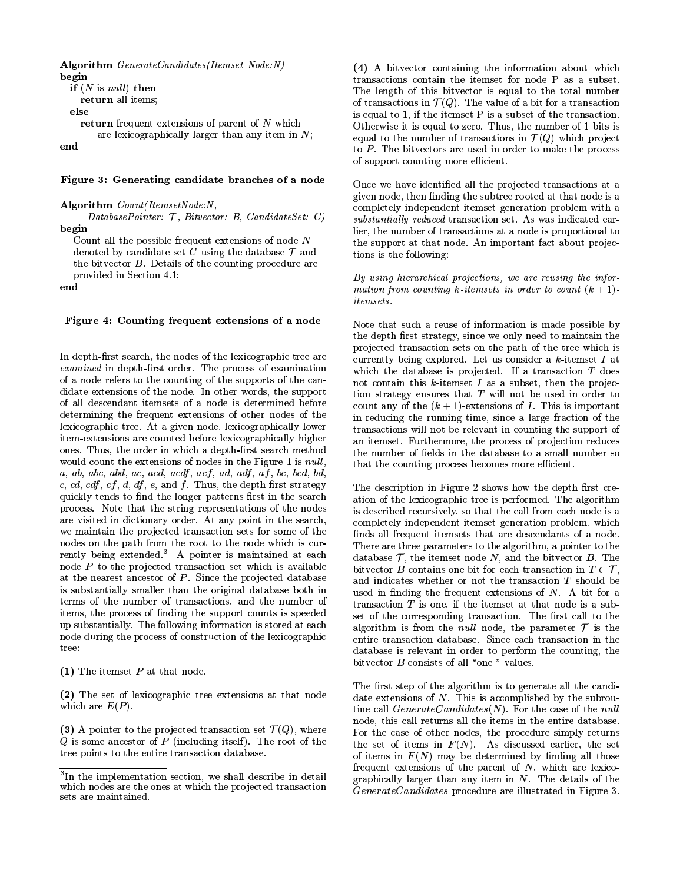Algorithm  $Generate Candidate (Hemset Node: N)$ begin

```
if (N is null) then
  return all items;
```
else

return frequent extensions of parent of  $N$  which are lexicographically larger than any item in  $N$ ; end

### Figure 3: Generating candidate branches of a node

Algorithm  $Count(ItemsetNode:N)$ .

DatabasePointer:  $T$ , Bitvector: B, CandidateSet: C) begin

Count all the possible frequent extensions of node  $N$ denoted by candidate set C using the database  $\mathcal T$  and the bityector  $B$ . Details of the counting procedure are provided in Section 4.1;

end

### Figure 4: Counting frequent extensions of a node

In depth-first search, the nodes of the lexicographic tree are examined in depth-first order. The process of examination of a node refers to the counting of the supports of the candidate extensions of the node. In other words, the support of all descendant itemsets of a node is determined before determining the frequent extensions of other nodes of the lexicographic tree. At a given node, lexicographically lower item-extensions are counted before lexicographically higher ones. Thus, the order in which a depth-first search method would count the extensions of nodes in the Figure 1 is null.  $a, ab, abc, abd, ac, acd, acdf, acf, ad, adf, af, bc, bcd, bd,$ c, cd, cdf, cf, d, df, e, and f. Thus, the depth first strategy quickly tends to find the longer patterns first in the search process. Note that the string representations of the nodes are visited in dictionary order. At any point in the search, we maintain the projected transaction sets for some of the nodes on the path from the root to the node which is currently being extended.<sup>3</sup> A pointer is maintained at each node  $P$  to the projected transaction set which is available at the nearest ancestor of  $P$ . Since the projected database is substantially smaller than the original database both in terms of the number of transactions, and the number of items, the process of finding the support counts is speeded up substantially. The following information is stored at each node during the process of construction of the lexicographic tree:

(1) The itemset  $P$  at that node.

(2) The set of lexicographic tree extensions at that node which are  $E(P)$ .

(3) A pointer to the projected transaction set  $\mathcal{T}(Q)$ , where  $Q$  is some ancestor of P (including itself). The root of the tree points to the entire transaction database.

(4) A bitvector containing the information about which transactions contain the itemset for node P as a subset. The length of this bitvector is equal to the total number of transactions in  $\mathcal{T}(Q)$ . The value of a bit for a transaction is equal to 1, if the itemset P is a subset of the transaction. Otherwise it is equal to zero. Thus, the number of 1 bits is equal to the number of transactions in  $\mathcal{T}(Q)$  which project to  $P$ . The bit vectors are used in order to make the process of support counting more efficient.

Once we have identified all the projected transactions at a given node, then finding the subtree rooted at that node is a completely independent itemset generation problem with a substantially reduced transaction set. As was indicated earlier, the number of transactions at a node is proportional to the support at that node. An important fact about projections is the following:

By using hierarchical projections, we are reusing the information from counting k-itemsets in order to count  $(k + 1)$ .  $itemsets.$ 

Note that such a reuse of information is made possible by the depth first strategy, since we only need to maintain the projected transaction sets on the path of the tree which is currently being explored. Let us consider a  $k$ -itemset  $I$  at which the database is projected. If a transaction  $T$  does not contain this k-itemset  $I$  as a subset, then the projection strategy ensures that  $T$  will not be used in order to count any of the  $(k + 1)$ -extensions of I. This is important in reducing the running time, since a large fraction of the transactions will not be relevant in counting the support of an itemset. Furthermore, the process of projection reduces the number of fields in the database to a small number so that the counting process becomes more efficient.

The description in Figure 2 shows how the depth first creation of the lexicographic tree is performed. The algorithm is described recursively, so that the call from each node is a completely independent itemset generation problem, which finds all frequent itemsets that are descendants of a node. There are three parameters to the algorithm, a pointer to the database  $\mathcal T$ , the itemset node  $N$ , and the bitvector  $B$ . The bityector *B* contains one bit for each transaction in  $T \in \mathcal{T}$ , and indicates whether or not the transaction  $T$  should be used in finding the frequent extensions of  $N$ . A bit for a transaction  $T$  is one, if the itemset at that node is a subset of the corresponding transaction. The first call to the algorithm is from the *null* node, the parameter  $\mathcal T$  is the entire transaction database. Since each transaction in the database is relevant in order to perform the counting, the bityector B consists of all "one " values.

The first step of the algorithm is to generate all the candidate extensions of  $N$ . This is accomplished by the subroutine call  $GenerateC and dates(N)$ . For the case of the *null* node, this call returns all the items in the entire database. For the case of other nodes, the procedure simply returns the set of items in  $F(N)$ . As discussed earlier, the set of items in  $F(N)$  may be determined by finding all those frequent extensions of the parent of  $N$ , which are lexicographically larger than any item in  $N$ . The details of the GenerateCandidates procedure are illustrated in Figure 3.

<sup>&</sup>lt;sup>3</sup>In the implementation section, we shall describe in detail which nodes are the ones at which the projected transaction sets are maintained.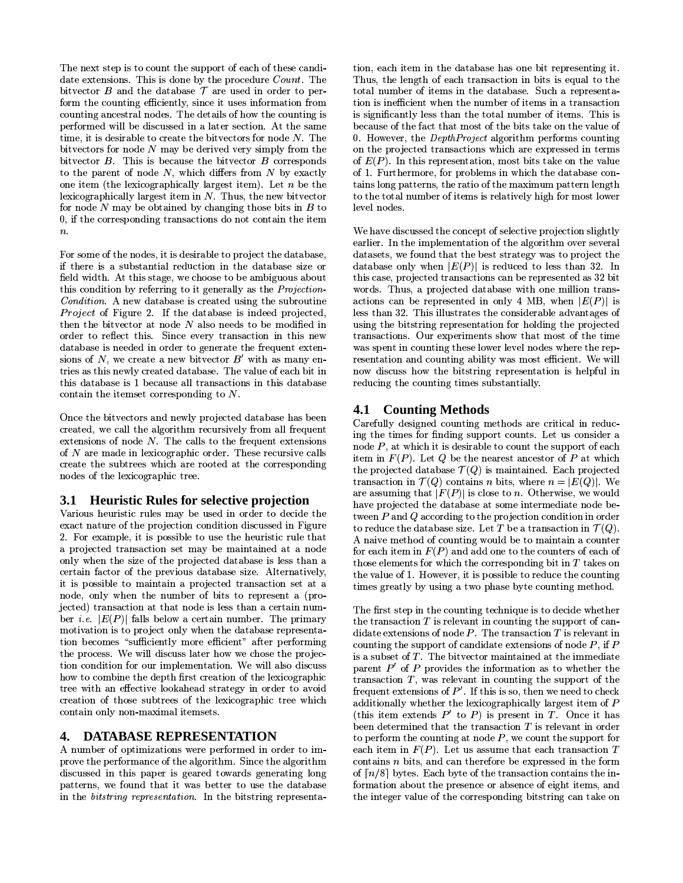The next step is to count the support of each of these candidate extensions. This is done by the procedure Count. The bityector  $B$  and the database  $\mathcal T$  are used in order to perform the counting efficiently, since it uses information from counting ancestral nodes. The details of how the counting is performed will be discussed in a later section. At the same time, it is desirable to create the bit vectors for node  $N$ . The bit vectors for node  $N$  may be derived very simply from the bityector  $B$ . This is because the bityector  $B$  corresponds to the parent of node  $N$ , which differs from  $N$  by exactly one item (the lexicographically largest item). Let  $n$  be the lexicographically largest item in  $N$ . Thus, the new bitvector for node  $N$  may be obtained by changing those bits in  $B$  to 0, if the corresponding transactions do not contain the item  $\boldsymbol{n}$ 

For some of the nodes, it is desirable to project the database, if there is a substantial reduction in the database size or field width. At this stage, we choose to be ambiguous about this condition by referring to it generally as the *Projection*-Condition. A new database is created using the subroutine Project of Figure 2. If the database is indeed projected, then the bit<br>vector at node  $\boldsymbol{N}$  also needs to be modified in order to reflect this. Since every transaction in this new database is needed in order to generate the frequent extensions of N, we create a new bityector  $B'$  with as many entries as this newly created database. The value of each bit in this database is 1 because all transactions in this database contain the itemset corresponding to  $N$ .

Once the bitvectors and newly projected database has been created, we call the algorithm recursively from all frequent extensions of node  $N$ . The calls to the frequent extensions of  $N$  are made in lexicographic order. These recursive calls create the subtrees which are rooted at the corresponding nodes of the lexicographic tree.

### 3.1 Heuristic Rules for selective projection

Various heuristic rules may be used in order to decide the exact nature of the projection condition discussed in Figure 2. For example, it is possible to use the heuristic rule that a projected transaction set may be maintained at a node only when the size of the projected database is less than a certain factor of the previous database size. Alternatively, it is possible to maintain a projected transaction set at a node, only when the number of bits to represent a (projected) transaction at that node is less than a certain number *i.e.*  $|E(P)|$  falls below a certain number. The primary motivation is to project only when the database representation becomes "sufficiently more efficient" after performing the process. We will discuss later how we chose the projection condition for our implementation. We will also discuss how to combine the depth first creation of the lexicographic tree with an effective lookahead strategy in order to avoid creation of those subtrees of the lexicographic tree which contain only non-maximal itemsets.

# **4. DATABASE REPRESENTATION**

A number of optimizations were performed in order to improve the performance of the algorithm. Since the algorithm discussed in this paper is geared towards generating long patterns, we found that it was better to use the database in the bitstring representation. In the bitstring representation, each item in the database has one bit representing it. Thus, the length of each transaction in bits is equal to the total number of items in the database. Such a representation is inefficient when the number of items in a transaction is significantly less than the total number of items. This is because of the fact that most of the bits take on the value of 0. However, the *DepthProject* algorithm performs counting on the projected transactions which are expressed in terms of  $E(P)$ . In this representation, most bits take on the value of 1. Furthermore, for problems in which the database contains long patterns, the ratio of the maximum pattern length to the total number of items is relatively high for most lower level nodes.

We have discussed the concept of selective projection slightly earlier. In the implementation of the algorithm over several datasets, we found that the best strategy was to project the database only when  $|E(P)|$  is reduced to less than 32. In this case, projected transactions can be represented as 32 bit words. Thus, a projected database with one million transactions can be represented in only 4 MB, when  $|E(P)|$  is less than 32. This illustrates the considerable advantages of using the bitstring representation for holding the projected transactions. Our experiments show that most of the time was spent in counting these lower level nodes where the representation and counting ability was most efficient. We will now discuss how the bitstring representation is helpful in reducing the counting times substantially.

# **4.1 Counting Methods**

Carefully designed counting methods are critical in reducing the times for finding support counts. Let us consider a node  $P$ , at which it is desirable to count the support of each item in  $F(P)$ . Let Q be the nearest ancestor of P at which the projected database  $\mathcal{T}(Q)$  is maintained. Each projected transaction in  $\mathcal{T}(Q)$  contains *n* bits, where  $n = |E(Q)|$ . We are assuming that  $|F(P)|$  is close to n. Otherwise, we would have projected the database at some intermediate node between  $P$  and  $Q$  according to the projection condition in order to reduce the database size. Let T be a transaction in  $\mathcal{T}(Q)$ . A naive method of counting would be to maintain a counter for each item in  $F(P)$  and add one to the counters of each of those elements for which the corresponding bit in  $T$  takes on the value of 1. However, it is possible to reduce the counting times greatly by using a two phase byte counting method.

The first step in the counting technique is to decide whether the transaction  $T$  is relevant in counting the support of candidate extensions of node  $P$ . The transaction  $T$  is relevant in counting the support of candidate extensions of node  $P$ . if  $P$ is a subset of  $T$ . The bityector maintained at the immediate parent  $P'$  of P provides the information as to whether the transaction  $T$ , was relevant in counting the support of the frequent extensions of  $P'$ . If this is so, then we need to check additionally whether the lexicographically largest item of P (this item extends  $P'$  to P) is present in T. Once it has been determined that the transaction  $T$  is relevant in order to perform the counting at node  $P$ , we count the support for each item in  $F(P)$ . Let us assume that each transaction T contains  $n$  bits, and can therefore be expressed in the form of  $\lceil n/8 \rceil$  bytes. Each byte of the transaction contains the information about the presence or absence of eight items, and the integer value of the corresponding bitstring can take on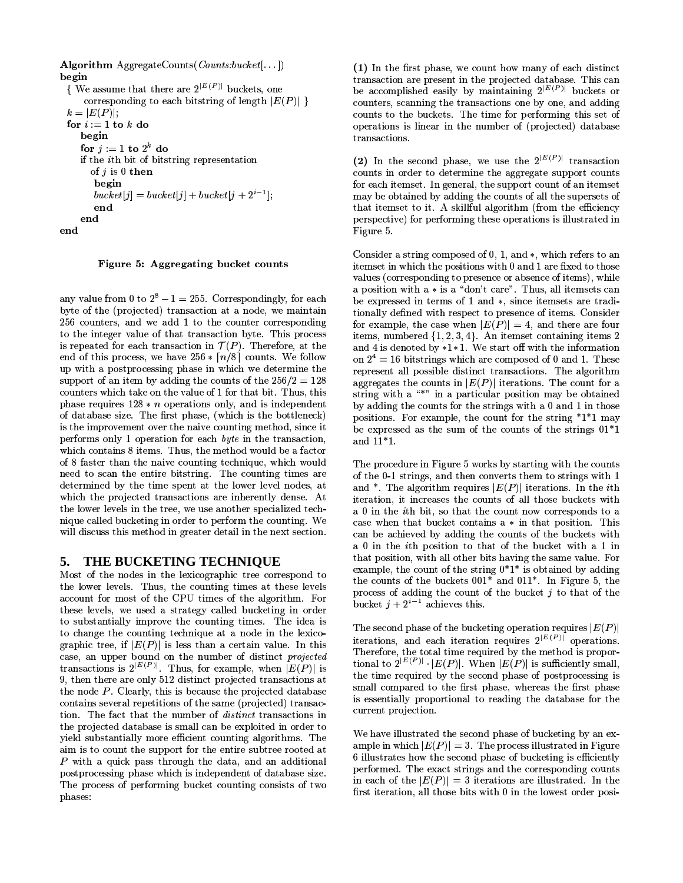```
Algorithm AggreateCounts(Counts.bucket[...])begin
```

```
{ We assume that there are 2^{|E(P)|} buckets, one
     corresponding to each bitstring of length |E(P)| }
 k = |E(P)|;for i = 1 to k do
    begin
    for j := 1 to 2^k do
    if the ith bit of bitstring representation
       of j is 0 then
       begin
       bucket[j] = bucket[j] + bucket[j] + 2^{i-1}end
    end
end
```
### Figure 5: Aggregating bucket counts

any value from 0 to  $2^8 - 1 = 255$ . Correspondingly, for each byte of the (projected) transaction at a node, we maintain 256 counters, and we add 1 to the counter corresponding to the integer value of that transaction byte. This process is repeated for each transaction in  $\mathcal{T}(P)$ . Therefore, at the end of this process, we have  $256 * [n/8]$  counts. We follow up with a postprocessing phase in which we determine the support of an item by adding the counts of the  $256/2 = 128$ counters which take on the value of 1 for that bit. Thus, this phase requires  $128 * n$  operations only, and is independent of database size. The first phase, (which is the bottleneck) is the improvement over the naive counting method, since it performs only 1 operation for each byte in the transaction, which contains 8 items. Thus, the method would be a factor of 8 faster than the naive counting technique, which would need to scan the entire bitstring. The counting times are determined by the time spent at the lower level nodes, at which the projected transactions are inherently dense. At the lower levels in the tree, we use another specialized technique called bucketing in order to perform the counting. We will discuss this method in greater detail in the next section.

#### 5. THE BUCKETING TECHNIQUE

Most of the nodes in the lexicographic tree correspond to the lower levels. Thus, the counting times at these levels account for most of the CPU times of the algorithm. For these levels, we used a strategy called bucketing in order to substantially improve the counting times. The idea is to change the counting technique at a node in the lexicographic tree, if  $|E(P)|$  is less than a certain value. In this case, an upper bound on the number of distinct projected transactions is  $2^{|E(P)|}$ . Thus, for example, when  $|E(P)|$  is 9, then there are only 512 distinct projected transactions at the node  $P$ . Clearly, this is because the projected database contains several repetitions of the same (projected) transaction. The fact that the number of *distinct* transactions in the projected database is small can be exploited in order to yield substantially more efficient counting algorithms. The aim is to count the support for the entire subtree rooted at P with a quick pass through the data, and an additional postprocessing phase which is independent of database size. The process of performing bucket counting consists of two phases:

(1) In the first phase, we count how many of each distinct transaction are present in the projected database. This can be accomplished easily by maintaining  $2^{|E(P)|}$  buckets or counters, scanning the transactions one by one, and adding counts to the buckets. The time for performing this set of operations is linear in the number of (projected) database transactions.

(2) In the second phase, we use the  $2^{|E(P)|}$  transaction counts in order to determine the aggregate support counts for each itemset. In general, the support count of an itemset may be obtained by adding the counts of all the supersets of that itemset to it. A skillful algorithm (from the efficiency perspective) for performing these operations is illustrated in Figure 5.

Consider a string composed of 0, 1, and  $*$ , which refers to an itemset in which the positions with 0 and 1 are fixed to those values (corresponding to presence or absence of items), while a position with  $a * is a "don't care". Thus, all itemsets can$ be expressed in terms of 1 and \*, since itemsets are traditionally defined with respect to presence of items. Consider for example, the case when  $|E(P)|=4$ , and there are four items, numbered  $\{1, 2, 3, 4\}$ . An itemset containing items 2 and 4 is denoted by  $*1*1$ . We start off with the information on  $2^4 = 16$  bitstrings which are composed of 0 and 1. These represent all possible distinct transactions. The algorithm aggregates the counts in  $|E(P)|$  iterations. The count for a string with a "\*" in a particular position may be obtained by adding the counts for the strings with a 0 and 1 in those positions. For example, the count for the string \*1\*1 may be expressed as the sum of the counts of the strings  $01*1$ and  $11*1$ .

The procedure in Figure 5 works by starting with the counts of the 0-1 strings, and then converts them to strings with 1 and \*. The algorithm requires  $|E(P)|$  iterations. In the *i*th iteration, it increases the counts of all those buckets with a 0 in the *i*th bit, so that the count now corresponds to a case when that bucket contains a  $*$  in that position. This can be achieved by adding the counts of the buckets with a 0 in the *i*th position to that of the bucket with a 1 in that position, with all other bits having the same value. For example, the count of the string  $0^*1^*$  is obtained by adding the counts of the buckets  $001^*$  and  $011^*$ . In Figure 5, the process of adding the count of the bucket  $j$  to that of the bucket  $j + 2^{i-1}$  achieves this.

The second phase of the bucketing operation requires  $|E(P)|$ iterations, and each iteration requires  $2^{|E(P)|}$  operations. Therefore, the total time required by the method is proportional to  $2^{|E(P)|} \cdot |E(P)|$ . When  $|E(P)|$  is sufficiently small, the time required by the second phase of postprocessing is small compared to the first phase, whereas the first phase is essentially proportional to reading the database for the current projection.

We have illustrated the second phase of bucketing by an example in which  $|E(P)| = 3$ . The process illustrated in Figure 6 illustrates how the second phase of bucketing is efficiently performed. The exact strings and the corresponding counts in each of the  $|E(P)| = 3$  iterations are illustrated. In the first iteration, all those bits with 0 in the lowest order posi-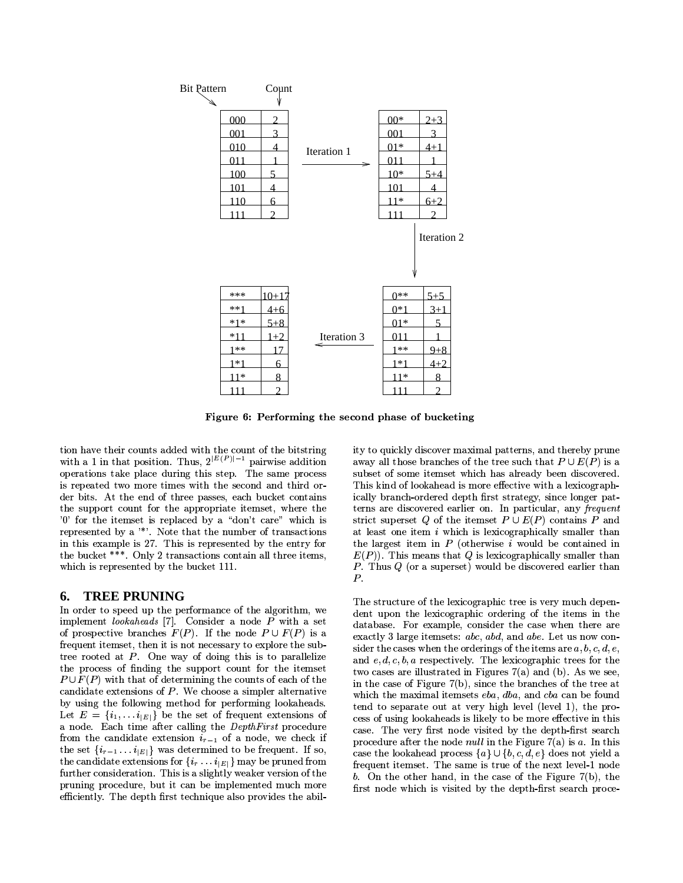

Figure 6: Performing the second phase of bucketing

tion have their counts added with the count of the bitstring with a 1 in that position. Thus,  $2^{|E(P)|-1}$  pairwise addition operations take place during this step. The same process is repeated two more times with the second and third order bits. At the end of three passes, each bucket contains the support count for the appropriate itemset, where the '0' for the itemset is replaced by a "don't care" which is represented by a '\*'. Note that the number of transactions in this example is 27. This is represented by the entry for the bucket \*\*\*. Only 2 transactions contain all three items, which is represented by the bucket 111.

#### 6. **TREE PRUNING**

In order to speed up the performance of the algorithm, we implement lookaheads [7]. Consider a node P with a set of prospective branches  $F(P)$ . If the node  $P \cup F(P)$  is a frequent itemset, then it is not necessary to explore the subtree rooted at  $P$ . One way of doing this is to parallelize the process of finding the support count for the itemset  $P \cup F(P)$  with that of determining the counts of each of the candidate extensions of  $P$ . We choose a simpler alternative by using the following method for performing lookaheads. Let  $E = \{i_1, \ldots i_{|E|}\}\$ be the set of frequent extensions of a node. Each time after calling the *DepthFirst* procedure from the candidate extension  $i_{r-1}$  of a node, we check if the set  $\{i_{r-1} \ldots i_{|E|}\}\$  was determined to be frequent. If so, the candidate extensions for  $\{i_r \dots i_{|E|}\}\$  may be pruned from further consideration. This is a slightly weaker version of the pruning procedure, but it can be implemented much more efficiently. The depth first technique also provides the ability to quickly discover maximal patterns, and thereby prune away all those branches of the tree such that  $P \cup E(P)$  is a subset of some itemset which has already been discovered. This kind of lookahead is more effective with a lexicographically branch-ordered depth first strategy, since longer patterns are discovered earlier on. In particular, any frequent strict superset Q of the itemset  $P \cup E(P)$  contains P and at least one item  $i$  which is lexicographically smaller than the largest item in  $P$  (otherwise  $i$  would be contained in  $E(P)$ ). This means that Q is lexicographically smaller than P. Thus Q (or a superset) would be discovered earlier than  $P$ .

The structure of the lexicographic tree is very much dependent upon the lexicographic ordering of the items in the database. For example, consider the case when there are exactly 3 large itemsets: abc, abd, and abe. Let us now consider the cases when the orderings of the items are  $a, b, c, d, e$ , and  $e, d, c, b, a$  respectively. The lexicographic trees for the two cases are illustrated in Figures  $7(a)$  and (b). As we see, in the case of Figure  $7(b)$ , since the branches of the tree at which the maximal itemsets eba, dba, and cba can be found tend to separate out at very high level (level 1), the process of using lookaheads is likely to be more effective in this case. The very first node visited by the depth-first search procedure after the node *null* in the Figure  $7(a)$  is a. In this case the lookahead process  $\{a\} \cup \{b, c, d, e\}$  does not yield a frequent itemset. The same is true of the next level-1 node b. On the other hand, in the case of the Figure  $7(b)$ , the first node which is visited by the depth-first search proce-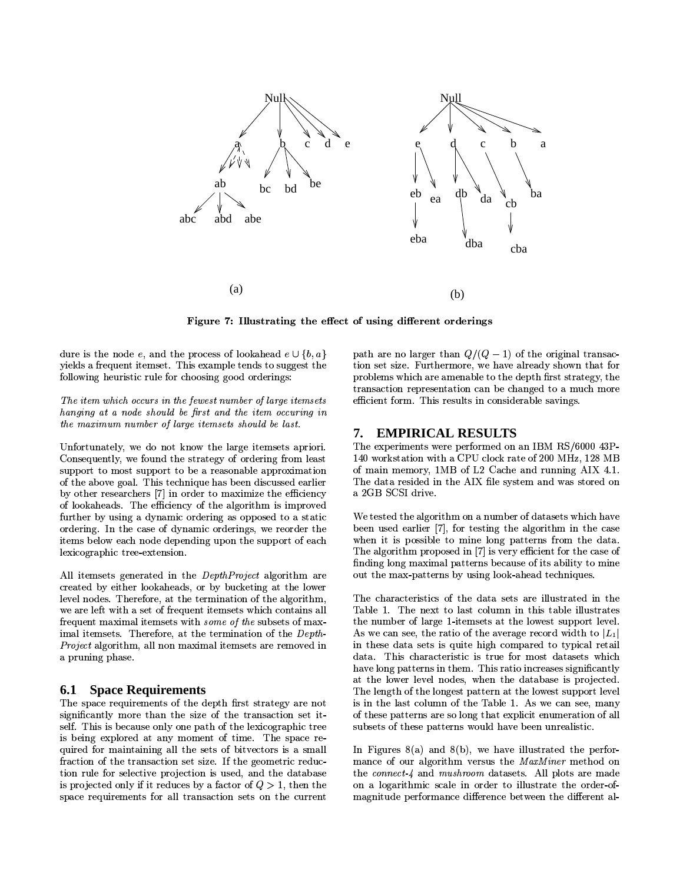

Figure 7: Illustrating the effect of using different orderings

dure is the node e, and the process of lookahead  $e \cup \{b, a\}$ yields a frequent itemset. This example tends to suggest the following heuristic rule for choosing good orderings:

The item which occurs in the fewest number of large itemsets hanging at a node should be first and the item occuring in the maximum number of large itemsets should be last.

Unfortunately, we do not know the large itemsets apriori. Consequently, we found the strategy of ordering from least support to most support to be a reasonable approximation of the above goal. This technique has been discussed earlier by other researchers [7] in order to maximize the efficiency of lookaheads. The efficiency of the algorithm is improved further by using a dynamic ordering as opposed to a static ordering. In the case of dynamic orderings, we reorder the items below each node depending upon the support of each lexicographic tree-extension.

All itemsets generated in the DepthProject algorithm are created by either lookaheads, or by bucketing at the lower level nodes. Therefore, at the termination of the algorithm, we are left with a set of frequent itemsets which contains all frequent maximal itemsets with some of the subsets of maximal itemsets. Therefore, at the termination of the Depth- $Project$  algorithm, all non maximal itemsets are removed in a pruning phase.

# **6.1 Space Requirements**

The space requirements of the depth first strategy are not significantly more than the size of the transaction set itself. This is because only one path of the lexicographic tree is being explored at any moment of time. The space required for maintaining all the sets of bitvectors is a small fraction of the transaction set size. If the geometric reduction rule for selective projection is used, and the database is projected only if it reduces by a factor of  $Q > 1$ , then the space requirements for all transaction sets on the current path are no larger than  $Q/(Q-1)$  of the original transaction set size. Furthermore, we have already shown that for problems which are amenable to the depth first strategy, the transaction representation can be changed to a much more efficient form. This results in considerable savings.

#### **EMPIRICAL RESULTS** 7.

The experiments were performed on an IBM RS/6000 43P-140 workstation with a CPU clock rate of 200 MHz, 128 MB of main memory, 1MB of L2 Cache and running AIX 4.1. The data resided in the AIX file system and was stored on a 2GB SCSI drive.

We tested the algorithm on a number of datasets which have been used earlier [7], for testing the algorithm in the case when it is possible to mine long patterns from the data. The algorithm proposed in [7] is very efficient for the case of finding long maximal patterns because of its ability to mine out the max-patterns by using look-ahead techniques.

The characteristics of the data sets are illustrated in the Table 1. The next to last column in this table illustrates the number of large 1-itemsets at the lowest support level. As we can see, the ratio of the average record width to  $|L_1|$ in these data sets is quite high compared to typical retail data. This characteristic is true for most datasets which have long patterns in them. This ratio increases significantly at the lower level nodes, when the database is projected. The length of the longest pattern at the lowest support level is in the last column of the Table 1. As we can see, many of these patterns are so long that explicit enumeration of all subsets of these patterns would have been unrealistic.

In Figures  $8(a)$  and  $8(b)$ , we have illustrated the performance of our algorithm versus the MaxMiner method on the connect 4 and mushroom datasets. All plots are made on a logarithmic scale in order to illustrate the order-ofmagnitude performance difference between the different al-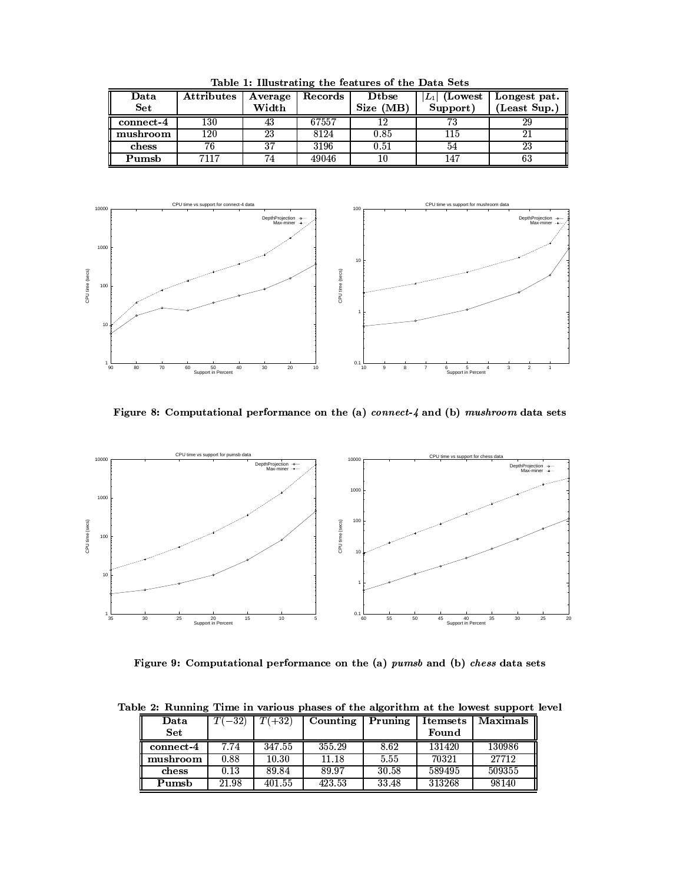$=$   $\frac{1}{2}$   $\frac{1}{2}$   $\frac{1}{2}$   $\frac{1}{2}$   $\frac{1}{2}$   $\frac{1}{2}$   $\frac{1}{2}$   $\frac{1}{2}$   $\frac{1}{2}$   $\frac{1}{2}$   $\frac{1}{2}$   $\frac{1}{2}$   $\frac{1}{2}$   $\frac{1}{2}$   $\frac{1}{2}$   $\frac{1}{2}$   $\frac{1}{2}$   $\frac{1}{2}$   $\frac{1}{2}$   $\frac{1}{2}$   $\frac{1}{2}$   $\frac{1}{2$ 

| Data<br>Set | <b>Attributes</b> | Average<br>Width | Records | <b>D</b> tbse<br>Size (MB) | $ L_1 $ (Lowest<br>Support) | Longest pat.<br>(Least Sup.) |
|-------------|-------------------|------------------|---------|----------------------------|-----------------------------|------------------------------|
| connect 4   | 130               | 43               | 67557   |                            | 73                          | 29                           |
| mushroom    | $120\,$           | 23               | 8124    | 0.85                       | 115                         |                              |
| chess       | 76                | 27               | 3196    | 0.51                       | 54                          | 23                           |
| Pumsb       | 7117              | 74               | 49046   |                            | 147                         | 63                           |



Figure 8: Computational performance on the (a) connect-4 and (b) mushroom data sets



Figure 9: Computational performance on the (a)  $\emph{pumsb}$  and (b) chess data sets

 ${}^{\prime\prime}$  for a set of the following formulation  ${}^{\prime\prime}$  . In fact, the following formulation  ${}^{\prime\prime}$  for  ${}^{\prime\prime}$ 

| Data      | $T(-32)$ | $T(+32)$ | Counting | Pruning | Itemsets | Maximals |
|-----------|----------|----------|----------|---------|----------|----------|
| Set       |          |          |          |         | Found    |          |
| connect 4 | 7.74     | 347.55   | 355.29   | 8.62    | 131420   | 130986   |
| mushroom  | 0.88     | 10.30    | 11.18    | 5.55    | 70321    | 27712    |
| chess     | 0.13     | 89.84    | 89.97    | 30.58   | 589495   | 509355   |
| Pumsb     | 21.98    | 401.55   | 423.53   | 33.48   | 313268   | 98140    |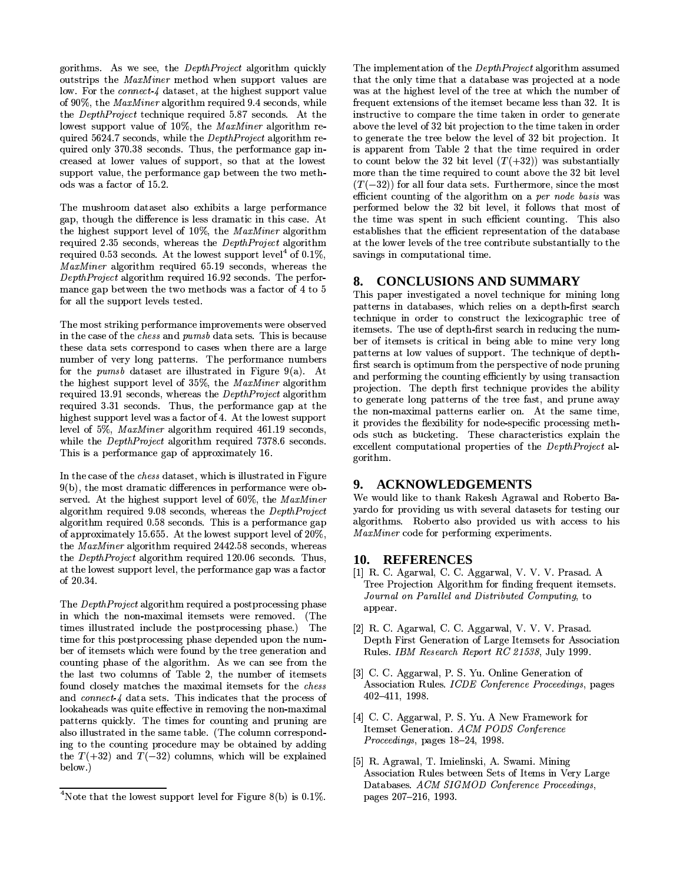gorithms. As we see, the DepthProject algorithm quickly outstrips the MaxMiner method when support values are low. For the connect 4 dataset, at the highest support value of 90%, the *MaxMiner* algorithm required 9.4 seconds, while the *DepthProject* technique required 5.87 seconds. At the lowest support value of 10%, the *MaxMiner* algorithm required 5624.7 seconds, while the *DepthProject* algorithm required only 370.38 seconds. Thus, the performance gap increased at lower values of support, so that at the lowest support value, the performance gap between the two methods was a factor of 15.2.

The mushroom dataset also exhibits a large performance gap, though the difference is less dramatic in this case. At the highest support level of 10%, the MaxMiner algorithm required 2.35 seconds, whereas the DepthProject algorithm required 0.53 seconds. At the lowest support level<sup>4</sup> of 0.1%, MaxMiner algorithm required 65.19 seconds, whereas the DepthProject algorithm required 16.92 seconds. The performance gap between the two methods was a factor of 4 to 5 for all the support levels tested.

The most striking performance improvements were observed in the case of the *chess* and *pumsb* data sets. This is because these data sets correspond to cases when there are a large number of very long patterns. The performance numbers for the *pumsb* dataset are illustrated in Figure  $9(a)$ . At the highest support level of 35%, the MaxMiner algorithm required 13.91 seconds, whereas the *DepthProject* algorithm required 3.31 seconds. Thus, the performance gap at the highest support level was a factor of 4. At the lowest support level of 5%, MaxMiner algorithm required 461.19 seconds, while the DepthProject algorithm required 7378.6 seconds. This is a performance gap of approximately 16.

In the case of the *chess* dataset, which is illustrated in Figure  $9(b)$ , the most dramatic differences in performance were observed. At the highest support level of 60%, the MaxMiner algorithm required 9.08 seconds, whereas the DepthProject algorithm required 0.58 seconds. This is a performance gap of approximately 15.655. At the lowest support level of 20%, the MaxMiner algorithm required 2442.58 seconds, whereas the DepthProject algorithm required 120.06 seconds. Thus, at the lowest support level, the performance gap was a factor of 20.34.

The DepthProject algorithm required a postprocessing phase in which the non-maximal itemsets were removed. (The times illustrated include the postprocessing phase.) The time for this postprocessing phase depended upon the number of itemsets which were found by the tree generation and counting phase of the algorithm. As we can see from the the last two columns of Table 2, the number of itemsets found closely matches the maximal itemsets for the chess and *connect-4* data sets. This indicates that the process of lookaheads was quite effective in removing the non-maximal patterns quickly. The times for counting and pruning are also illustrated in the same table. (The column corresponding to the counting procedure may be obtained by adding the  $T(+32)$  and  $T(-32)$  columns, which will be explained below.)

The implementation of the DepthProject algorithm assumed that the only time that a database was projected at a node was at the highest level of the tree at which the number of frequent extensions of the itemset became less than 32. It is instructive to compare the time taken in order to generate above the level of 32 bit projection to the time taken in order to generate the tree below the level of 32 bit projection. It is apparent from Table 2 that the time required in order to count below the 32 bit level  $(T(+32))$  was substantially more than the time required to count above the 32 bit level  $(T(-32))$  for all four data sets. Furthermore, since the most efficient counting of the algorithm on a per node basis was performed below the 32 bit level, it follows that most of the time was spent in such efficient counting. This also establishes that the efficient representation of the database at the lower levels of the tree contribute substantially to the savings in computational time.

#### **CONCLUSIONS AND SUMMARY** 8.

This paper investigated a novel technique for mining long patterns in databases, which relies on a depth-first search technique in order to construct the lexicographic tree of itemsets. The use of depth-first search in reducing the number of itemsets is critical in being able to mine very long patterns at low values of support. The technique of depthfirst search is optimum from the perspective of node pruning and performing the counting efficiently by using transaction projection. The depth first technique provides the ability to generate long patterns of the tree fast, and prune away the non-maximal patterns earlier on. At the same time, it provides the flexibility for node-specific processing methods such as bucketing. These characteristics explain the excellent computational properties of the DepthProject algorithm.

### 9. ACKNOWLEDGEMENTS

We would like to thank Rakesh Agrawal and Roberto Bayardo for providing us with several datasets for testing our algorithms. Roberto also provided us with access to his MaxMiner code for performing experiments.

### 10. REFERENCES

- [1] R. C. Agarwal, C. C. Aggarwal, V. V. V. Prasad. A Tree Projection Algorithm for finding frequent itemsets. Journal on Parallel and Distributed Computing, to appear.
- [2] R. C. Agarwal, C. C. Aggarwal, V. V. V. Prasad. Depth First Generation of Large Itemsets for Association Rules. IBM Research Report RC 21538, July 1999.
- [3] C. C. Aggarwal, P. S. Yu. Online Generation of Association Rules. ICDE Conference Proceedings, pages 402-411, 1998.
- [4] C. C. Aggarwal, P. S. Yu. A New Framework for Itemset Generation. ACM PODS Conference Proceedings, pages 18-24, 1998.
- [5] R. Agrawal, T. Imielinski, A. Swami. Mining Association Rules between Sets of Items in Very Large Databases. ACM SIGMOD Conference Proceedings, pages 207-216, 1993.

<sup>&</sup>lt;sup>4</sup>Note that the lowest support level for Figure 8(b) is 0.1%.